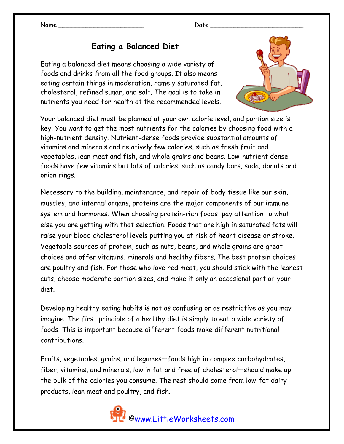#### Name \_\_\_\_\_\_\_\_\_\_\_\_\_\_\_\_\_\_\_\_\_\_ Date \_\_\_\_\_\_\_\_\_\_\_\_\_\_\_\_\_\_\_\_\_\_\_\_

# **Eating a Balanced Diet**

Eating a balanced diet means choosing a wide variety of foods and drinks from all the food groups. It also means eating certain things in moderation, namely saturated fat, cholesterol, refined sugar, and salt. The goal is to take in nutrients you need for health at the recommended levels.



Your balanced diet must be planned at your own calorie level, and portion size is key. You want to get the most nutrients for the calories by choosing food with a high-nutrient density. Nutrient-dense foods provide substantial amounts of vitamins and minerals and relatively few calories, such as fresh fruit and vegetables, lean meat and fish, and whole grains and beans. Low-nutrient dense foods have few vitamins but lots of calories, such as candy bars, soda, donuts and onion rings.

Necessary to the building, maintenance, and repair of body tissue like our skin, muscles, and internal organs, proteins are the major components of our immune system and hormones. When choosing protein-rich foods, pay attention to what else you are getting with that selection. Foods that are high in saturated fats will raise your blood cholesterol levels putting you at risk of heart disease or stroke. Vegetable sources of protein, such as nuts, beans, and whole grains are great choices and offer vitamins, minerals and healthy fibers. The best protein choices are poultry and fish. For those who love red meat, you should stick with the leanest cuts, choose moderate portion sizes, and make it only an occasional part of your diet.

Developing healthy eating habits is not as confusing or as restrictive as you may imagine. The first principle of a healthy diet is simply to eat a wide variety of foods. This is important because different foods make different nutritional contributions.

Fruits, vegetables, grains, and legumes—foods high in complex carbohydrates, fiber, vitamins, and minerals, low in fat and free of cholesterol—should make up the bulk of the calories you consume. The rest should come from low-fat dairy products, lean meat and poultry, and fish.

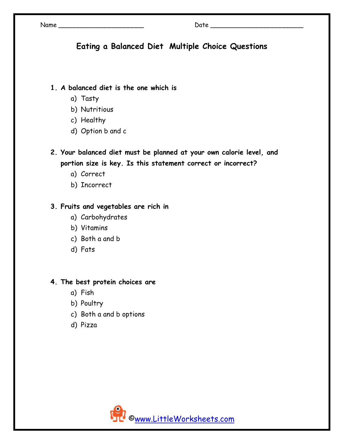Name \_\_\_\_\_\_\_\_\_\_\_\_\_\_\_\_\_\_\_\_\_\_ Date \_\_\_\_\_\_\_\_\_\_\_\_\_\_\_\_\_\_\_\_\_\_\_\_

# **Eating a Balanced Diet Multiple Choice Questions**

## **1. A balanced diet is the one which is**

- a) Tasty
- b) Nutritious
- c) Healthy
- d) Option b and c
- **2. Your balanced diet must be planned at your own calorie level, and portion size is key. Is this statement correct or incorrect?** 
	- a) Correct
	- b) Incorrect

### **3. Fruits and vegetables are rich in**

- a) Carbohydrates
- b) Vitamins
- c) Both a and b
- d) Fats

#### **4. The best protein choices are**

- a) Fish
- b) Poultry
- c) Both a and b options
- d) Pizza

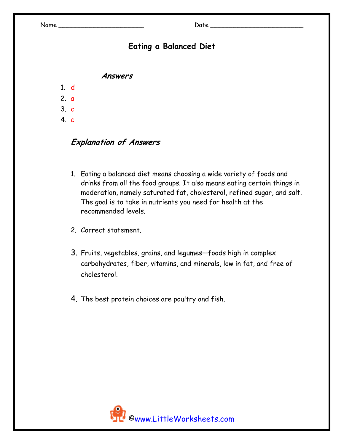# **Eating a Balanced Diet**

**Answers** 

- 1. d
- 2. a
- 3. c
- 4. c

### **Explanation of Answers**

- 1. Eating a balanced diet means choosing a wide variety of foods and drinks from all the food groups. It also means eating certain things in moderation, namely saturated fat, cholesterol, refined sugar, and salt. The goal is to take in nutrients you need for health at the recommended levels.
- 2. Correct statement.
- 3. Fruits, vegetables, grains, and legumes—foods high in complex carbohydrates, fiber, vitamins, and minerals, low in fat, and free of cholesterol.
- 4. The best protein choices are poultry and fish.